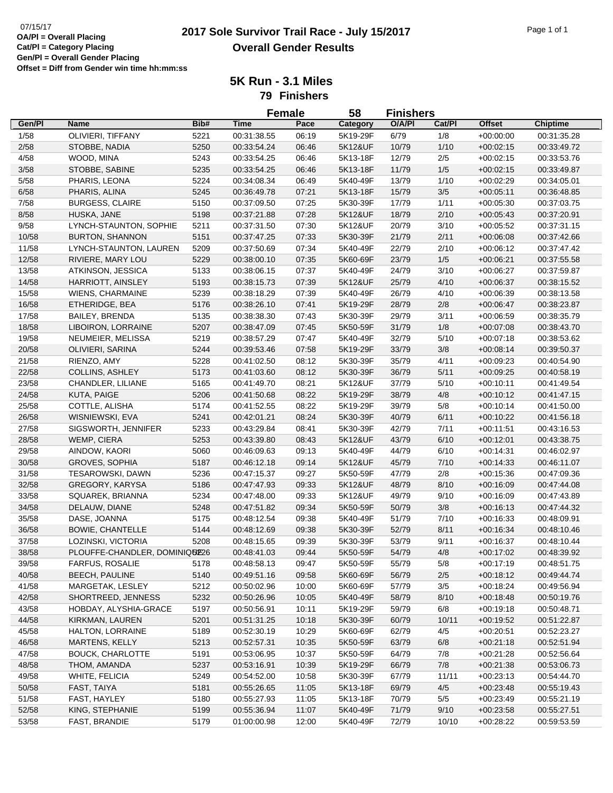## 07/15/17<br>**2017 Sole Survivor Trail Race - July 15/2017** Page 1 of 1 **Overall Gender Results**

**5K Run - 3.1 Miles 79 Finishers**

|                |                                          |      | <b>Female</b>              |                | 58       | <b>Finishers</b> |        |                            |                            |
|----------------|------------------------------------------|------|----------------------------|----------------|----------|------------------|--------|----------------------------|----------------------------|
| Gen/Pl         | Name                                     | Bib# | <b>Time</b>                | Pace           | Category | O/A/PI           | Cat/Pl | <b>Offset</b>              | <b>Chiptime</b>            |
| 1/58           | OLIVIERI, TIFFANY                        | 5221 | 00:31:38.55                | 06:19          | 5K19-29F | 6/79             | 1/8    | $+00:00:00$                | 00:31:35.28                |
| 2/58           | STOBBE, NADIA                            | 5250 | 00:33:54.24                | 06:46          | 5K12&UF  | 10/79            | 1/10   | $+00:02:15$                | 00:33:49.72                |
| 4/58           | WOOD, MINA                               | 5243 | 00:33:54.25                | 06:46          | 5K13-18F | 12/79            | 2/5    | $+00:02:15$                | 00:33:53.76                |
| 3/58           | STOBBE, SABINE                           | 5235 | 00:33:54.25                | 06:46          | 5K13-18F | 11/79            | $1/5$  | $+00:02:15$                | 00:33:49.87                |
| 5/58           | PHARIS, LEONA                            | 5224 | 00:34:08.34                | 06:49          | 5K40-49F | 13/79            | 1/10   | $+00:02:29$                | 00:34:05.01                |
| 6/58           | PHARIS, ALINA                            | 5245 | 00:36:49.78                | 07:21          | 5K13-18F | 15/79            | $3/5$  | $+00:05:11$                | 00:36:48.85                |
| 7/58           | <b>BURGESS, CLAIRE</b>                   | 5150 | 00:37:09.50                | 07:25          | 5K30-39F | 17/79            | 1/11   | $+00:05:30$                | 00:37:03.75                |
| 8/58           | HUSKA, JANE                              | 5198 | 00:37:21.88                | 07:28          | 5K12&UF  | 18/79            | 2/10   | $+00:05:43$                | 00:37:20.91                |
| 9/58           | LYNCH-STAUNTON, SOPHIE                   | 5211 | 00:37:31.50                | 07:30          | 5K12&UF  | 20/79            | 3/10   | $+00:05:52$                | 00:37:31.15                |
| 10/58          | <b>BURTON, SHANNON</b>                   | 5151 | 00:37:47.25                | 07:33          | 5K30-39F | 21/79            | 2/11   | $+00:06:08$                | 00:37:42.66                |
| 11/58          | LYNCH-STAUNTON, LAUREN                   | 5209 | 00:37:50.69                | 07:34          | 5K40-49F | 22/79            | 2/10   | $+00:06:12$                | 00:37:47.42                |
| 12/58          | RIVIERE, MARY LOU                        | 5229 | 00:38:00.10                | 07:35          | 5K60-69F | 23/79            | 1/5    | $+00:06:21$                | 00:37:55.58                |
| 13/58          | ATKINSON, JESSICA                        | 5133 | 00:38:06.15                | 07:37          | 5K40-49F | 24/79            | 3/10   | $+00:06:27$                | 00:37:59.87                |
| 14/58          | HARRIOTT, AINSLEY                        | 5193 | 00:38:15.73                | 07:39          | 5K12&UF  | 25/79            | 4/10   | $+00:06:37$                | 00:38:15.52                |
| 15/58          | <b>WIENS, CHARMAINE</b>                  | 5239 | 00:38:18.29                | 07:39          | 5K40-49F | 26/79            | 4/10   | $+00:06:39$                | 00:38:13.58                |
| 16/58          | ETHERIDGE, BEA                           | 5176 | 00:38:26.10                | 07:41          | 5K19-29F | 28/79            | $2/8$  | $+00:06:47$                | 00:38:23.87                |
| 17/58          | <b>BAILEY, BRENDA</b>                    | 5135 | 00:38:38.30                | 07:43          | 5K30-39F | 29/79            | 3/11   | $+00:06:59$                | 00:38:35.79                |
| 18/58          | LIBOIRON, LORRAINE                       | 5207 | 00:38:47.09                | 07:45          | 5K50-59F | 31/79            | 1/8    | $+00:07:08$                | 00:38:43.70                |
| 19/58          | NEUMEIER, MELISSA                        | 5219 | 00:38:57.29                | 07:47          | 5K40-49F | 32/79            | 5/10   | $+00:07:18$                | 00:38:53.62                |
| 20/58          | OLIVIERI, SARINA                         | 5244 | 00:39:53.46                | 07:58          | 5K19-29F | 33/79            | 3/8    | $+00:08:14$                | 00:39:50.37                |
| 21/58          | RIENZO, AMY                              | 5228 | 00:41:02.50                | 08:12          | 5K30-39F | 35/79            | 4/11   | $+00.09:23$                | 00:40:54.90                |
| 22/58          | <b>COLLINS, ASHLEY</b>                   | 5173 | 00:41:03.60                | 08:12          | 5K30-39F | 36/79            | 5/11   | $+00:09:25$                | 00:40:58.19                |
| 23/58          | CHANDLER, LILIANE                        | 5165 | 00:41:49.70                | 08:21          | 5K12&UF  | 37/79            | 5/10   | $+00:10:11$                | 00:41:49.54                |
| 24/58          | KUTA, PAIGE                              | 5206 | 00:41:50.68                | 08:22          | 5K19-29F | 38/79            | 4/8    | $+00:10:12$                | 00:41:47.15                |
| 25/58          | COTTLE, ALISHA                           | 5174 | 00:41:52.55                | 08:22          | 5K19-29F | 39/79            | 5/8    | $+00:10:14$                | 00:41:50.00                |
| 26/58          | WISNIEWSKI, EVA                          | 5241 | 00:42:01.21                | 08:24          | 5K30-39F | 40/79            | 6/11   | $+00:10:22$                | 00:41:56.18                |
| 27/58          | SIGSWORTH, JENNIFER                      | 5233 | 00:43:29.84                | 08:41          | 5K30-39F | 42/79            | 7/11   | $+00:11:51$                | 00:43:16.53                |
| 28/58          | WEMP, CIERA                              | 5253 | 00:43:39.80                | 08:43          | 5K12&UF  | 43/79            | 6/10   | $+00:12:01$                | 00:43:38.75                |
| 29/58          | AINDOW, KAORI                            | 5060 | 00:46:09.63                | 09:13          | 5K40-49F | 44/79            | 6/10   | $+00:14:31$                | 00:46:02.97                |
| 30/58          | GROVES, SOPHIA                           | 5187 | 00:46:12.18                | 09:14          | 5K12&UF  | 45/79            | 7/10   | $+00:14:33$                | 00:46:11.07                |
| 31/58          | TESAROWSKI, DAWN                         | 5236 | 00:47:15.37                | 09:27          | 5K50-59F | 47/79            | 2/8    | $+00:15:36$                | 00:47:09.36                |
| 32/58          | GREGORY, KARYSA                          | 5186 | 00:47:47.93                | 09:33          | 5K12&UF  | 48/79            | 8/10   | $+00:16:09$                | 00:47:44.08                |
| 33/58          | SQUAREK, BRIANNA                         | 5234 | 00:47:48.00                | 09:33          | 5K12&UF  | 49/79            | 9/10   | $+00:16:09$                | 00:47:43.89                |
| 34/58          | DELAUW, DIANE                            | 5248 | 00:47:51.82                | 09:34          | 5K50-59F | 50/79            | 3/8    | $+00:16:13$                | 00:47:44.32                |
| 35/58          | DASE, JOANNA                             | 5175 | 00:48:12.54                | 09:38          | 5K40-49F | 51/79            | 7/10   | $+00:16:33$                | 00:48:09.91                |
| 36/58          | <b>BOWIE, CHANTELLE</b>                  | 5144 | 00:48:12.69                | 09:38          | 5K30-39F | 52/79            | 8/11   | $+00:16:34$                | 00:48:10.46                |
| 37/58          | LOZINSKI, VICTORIA                       | 5208 | 00:48:15.65                | 09:39          | 5K30-39F | 53/79            | 9/11   | $+00:16:37$                | 00:48:10.44                |
| 38/58          | PLOUFFE-CHANDLER, DOMINIQUE26            |      | 00:48:41.03                | 09:44          | 5K50-59F | 54/79            | 4/8    | $+00:17:02$                | 00:48:39.92                |
| 39/58          |                                          | 5178 |                            |                | 5K50-59F |                  |        |                            |                            |
| 40/58          | FARFUS, ROSALIE<br><b>BEECH, PAULINE</b> | 5140 | 00:48:58.13                | 09:47<br>09:58 |          | 55/79<br>56/79   | 5/8    | $+00:17:19$<br>$+00:18:12$ | 00:48:51.75                |
|                | MARGETAK, LESLEY                         |      | 00:49:51.16<br>00:50:02.96 | 10:00          | 5K60-69F |                  | 2/5    |                            | 00:49:44.74<br>00:49:56.94 |
| 41/58<br>42/58 | SHORTREED, JENNESS                       | 5212 |                            |                | 5K60-69F | 57/79<br>58/79   | 3/5    | $+00:18:24$                |                            |
|                |                                          | 5232 | 00:50:26.96                | 10:05          | 5K40-49F |                  | 8/10   | $+00:18:48$                | 00:50:19.76                |
| 43/58          | HOBDAY, ALYSHIA-GRACE                    | 5197 | 00:50:56.91                | 10:11          | 5K19-29F | 59/79            | 6/8    | $+00:19:18$                | 00:50:48.71                |
| 44/58          | KIRKMAN, LAUREN                          | 5201 | 00:51:31.25                | 10:18          | 5K30-39F | 60/79            | 10/11  | $+00:19:52$                | 00:51:22.87                |
| 45/58          | HALTON, LORRAINE                         | 5189 | 00:52:30.19                | 10:29          | 5K60-69F | 62/79            | 4/5    | $+00:20:51$                | 00:52:23.27                |
| 46/58          | <b>MARTENS, KELLY</b>                    | 5213 | 00:52:57.31                | 10:35          | 5K50-59F | 63/79            | 6/8    | $+00:21:18$                | 00:52:51.94                |
| 47/58          | <b>BOUCK, CHARLOTTE</b>                  | 5191 | 00:53:06.95                | 10:37          | 5K50-59F | 64/79            | 7/8    | $+00:21:28$                | 00:52:56.64                |
| 48/58          | THOM, AMANDA                             | 5237 | 00:53:16.91                | 10:39          | 5K19-29F | 66/79            | 7/8    | $+00:21:38$                | 00:53:06.73                |
| 49/58          | WHITE, FELICIA                           | 5249 | 00:54:52.00                | 10:58          | 5K30-39F | 67/79            | 11/11  | $+00:23:13$                | 00:54:44.70                |
| 50/58          | FAST, TAIYA                              | 5181 | 00:55:26.65                | 11:05          | 5K13-18F | 69/79            | 4/5    | $+00:23:48$                | 00:55:19.43                |
| 51/58          | FAST, HAYLEY                             | 5180 | 00:55:27.93                | 11:05          | 5K13-18F | 70/79            | 5/5    | $+00:23:49$                | 00:55:21.19                |
| 52/58          | KING, STEPHANIE                          | 5199 | 00:55:36.94                | 11:07          | 5K40-49F | 71/79            | 9/10   | $+00:23:58$                | 00:55:27.51                |
| 53/58          | FAST, BRANDIE                            | 5179 | 01:00:00.98                | 12:00          | 5K40-49F | 72/79            | 10/10  | $+00:28:22$                | 00:59:53.59                |